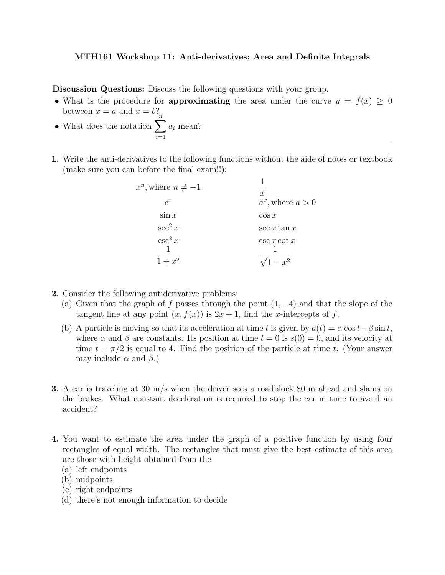## MTH161 Workshop 11: Anti-derivatives; Area and Definite Integrals

Discussion Questions: Discuss the following questions with your group.

- What is the procedure for **approximating** the area under the curve  $y = f(x) \ge 0$ between  $x = a$  and  $x = b$ ?
- What does the notation  $\sum_{n=1}^{\infty}$  $i=1$  $a_i$  mean?
- 1. Write the anti-derivatives to the following functions without the aide of notes or textbook (make sure you can before the final exam!!):

| $x^n$ , where $n \neq -1$ | $\boldsymbol{x}$     |
|---------------------------|----------------------|
| $e^x$                     | $a^x$ , where $a>0$  |
| $\sin x$                  | $\cos x$             |
| $\sec^2 x$                | $\sec x \tan x$      |
| $\csc^2 x$                | $\csc x \cot x$      |
|                           | $- x^{\overline{2}}$ |

- 2. Consider the following antiderivative problems:
	- (a) Given that the graph of f passes through the point  $(1, -4)$  and that the slope of the tangent line at any point  $(x, f(x))$  is  $2x + 1$ , find the *x*-intercepts of f.
	- (b) A particle is moving so that its acceleration at time t is given by  $a(t) = \alpha \cos t \beta \sin t$ , where  $\alpha$  and  $\beta$  are constants. Its position at time  $t = 0$  is  $s(0) = 0$ , and its velocity at time  $t = \pi/2$  is equal to 4. Find the position of the particle at time t. (Your answer may include  $\alpha$  and  $\beta$ .)
- 3. A car is traveling at 30 m/s when the driver sees a roadblock 80 m ahead and slams on the brakes. What constant deceleration is required to stop the car in time to avoid an accident?
- 4. You want to estimate the area under the graph of a positive function by using four rectangles of equal width. The rectangles that must give the best estimate of this area are those with height obtained from the
	- (a) left endpoints
	- (b) midpoints
	- (c) right endpoints
	- (d) there's not enough information to decide